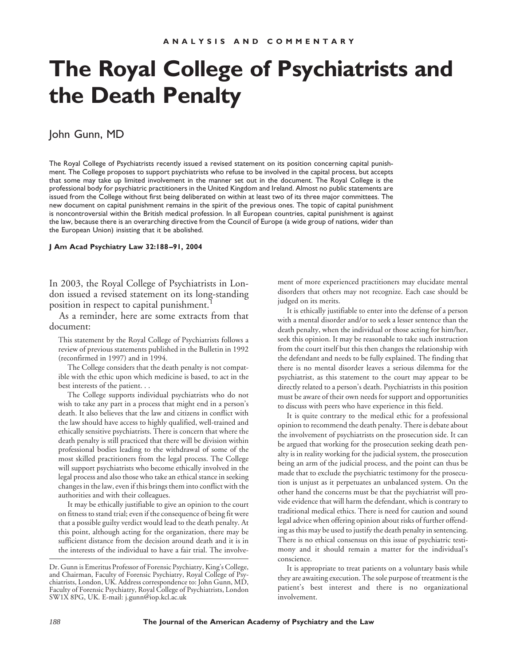## **The Royal College of Psychiatrists and the Death Penalty**

## John Gunn, MD

The Royal College of Psychiatrists recently issued a revised statement on its position concerning capital punishment. The College proposes to support psychiatrists who refuse to be involved in the capital process, but accepts that some may take up limited involvement in the manner set out in the document. The Royal College is the professional body for psychiatric practitioners in the United Kingdom and Ireland. Almost no public statements are issued from the College without first being deliberated on within at least two of its three major committees. The new document on capital punishment remains in the spirit of the previous ones. The topic of capital punishment is noncontroversial within the British medical profession. In all European countries, capital punishment is against the law, because there is an overarching directive from the Council of Europe (a wide group of nations, wider than the European Union) insisting that it be abolished.

## **J Am Acad Psychiatry Law 32:188–91, 2004**

In 2003, the Royal College of Psychiatrists in London issued a revised statement on its long-standing position in respect to capital punishment.

As a reminder, here are some extracts from that document:

This statement by the Royal College of Psychiatrists follows a review of previous statements published in the Bulletin in 1992 (reconfirmed in 1997) and in 1994.

The College considers that the death penalty is not compatible with the ethic upon which medicine is based, to act in the best interests of the patient. . .

The College supports individual psychiatrists who do not wish to take any part in a process that might end in a person's death. It also believes that the law and citizens in conflict with the law should have access to highly qualified, well-trained and ethically sensitive psychiatrists. There is concern that where the death penalty is still practiced that there will be division within professional bodies leading to the withdrawal of some of the most skilled practitioners from the legal process. The College will support psychiatrists who become ethically involved in the legal process and also those who take an ethical stance in seeking changes in the law, even if this brings them into conflict with the authorities and with their colleagues.

It may be ethically justifiable to give an opinion to the court on fitness to stand trial; even if the consequence of being fit were that a possible guilty verdict would lead to the death penalty. At this point, although acting for the organization, there may be sufficient distance from the decision around death and it is in the interests of the individual to have a fair trial. The involvement of more experienced practitioners may elucidate mental disorders that others may not recognize. Each case should be judged on its merits.

It is ethically justifiable to enter into the defense of a person with a mental disorder and/or to seek a lesser sentence than the death penalty, when the individual or those acting for him/her, seek this opinion. It may be reasonable to take such instruction from the court itself but this then changes the relationship with the defendant and needs to be fully explained. The finding that there is no mental disorder leaves a serious dilemma for the psychiatrist, as this statement to the court may appear to be directly related to a person's death. Psychiatrists in this position must be aware of their own needs for support and opportunities to discuss with peers who have experience in this field.

It is quite contrary to the medical ethic for a professional opinion to recommend the death penalty. There is debate about the involvement of psychiatrists on the prosecution side. It can be argued that working for the prosecution seeking death penalty is in reality working for the judicial system, the prosecution being an arm of the judicial process, and the point can thus be made that to exclude the psychiatric testimony for the prosecution is unjust as it perpetuates an unbalanced system. On the other hand the concerns must be that the psychiatrist will provide evidence that will harm the defendant, which is contrary to traditional medical ethics. There is need for caution and sound legal advice when offering opinion about risks of further offending as this may be used to justify the death penalty in sentencing. There is no ethical consensus on this issue of psychiatric testimony and it should remain a matter for the individual's conscience.

It is appropriate to treat patients on a voluntary basis while they are awaiting execution. The sole purpose of treatment is the patient's best interest and there is no organizational involvement.

Dr. Gunn is Emeritus Professor of Forensic Psychiatry, King's College, and Chairman, Faculty of Forensic Psychiatry, Royal College of Psychiatrists, London, UK. Address correspondence to: John Gunn, MD, Faculty of Forensic Psychiatry, Royal College of Psychiatrists, London SW1X 8PG, UK. E-mail: j.gunn@iop.kcl.ac.uk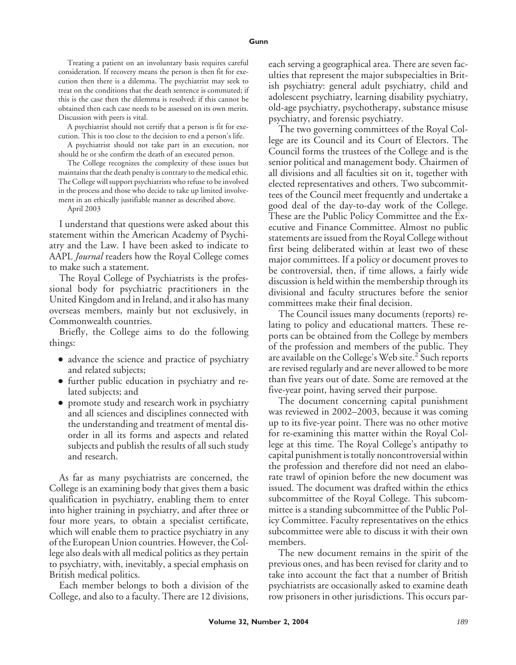Treating a patient on an involuntary basis requires careful consideration. If recovery means the person is then fit for execution then there is a dilemma. The psychiatrist may seek to treat on the conditions that the death sentence is commuted; if this is the case then the dilemma is resolved; if this cannot be obtained then each case needs to be assessed on its own merits. Discussion with peers is vital.

A psychiatrist should not certify that a person is fit for execution. This is too close to the decision to end a person's life.

A psychiatrist should not take part in an execution, nor should he or she confirm the death of an executed person.

The College recognizes the complexity of these issues but maintains that the death penalty is contrary to the medical ethic. The College will support psychiatrists who refuse to be involved in the process and those who decide to take up limited involvement in an ethically justifiable manner as described above.

April 2003

I understand that questions were asked about this statement within the American Academy of Psychiatry and the Law. I have been asked to indicate to AAPL *Journal* readers how the Royal College comes to make such a statement.

The Royal College of Psychiatrists is the professional body for psychiatric practitioners in the United Kingdom and in Ireland, and it also has many overseas members, mainly but not exclusively, in Commonwealth countries.

Briefly, the College aims to do the following things:

- advance the science and practice of psychiatry and related subjects;
- further public education in psychiatry and related subjects; and
- promote study and research work in psychiatry and all sciences and disciplines connected with the understanding and treatment of mental disorder in all its forms and aspects and related subjects and publish the results of all such study and research.

As far as many psychiatrists are concerned, the College is an examining body that gives them a basic qualification in psychiatry, enabling them to enter into higher training in psychiatry, and after three or four more years, to obtain a specialist certificate, which will enable them to practice psychiatry in any of the European Union countries. However, the College also deals with all medical politics as they pertain to psychiatry, with, inevitably, a special emphasis on British medical politics.

Each member belongs to both a division of the College, and also to a faculty. There are 12 divisions,

each serving a geographical area. There are seven faculties that represent the major subspecialties in British psychiatry: general adult psychiatry, child and adolescent psychiatry, learning disability psychiatry, old-age psychiatry, psychotherapy, substance misuse psychiatry, and forensic psychiatry.

The two governing committees of the Royal College are its Council and its Court of Electors. The Council forms the trustees of the College and is the senior political and management body. Chairmen of all divisions and all faculties sit on it, together with elected representatives and others. Two subcommittees of the Council meet frequently and undertake a good deal of the day-to-day work of the College. These are the Public Policy Committee and the Executive and Finance Committee. Almost no public statements are issued from the Royal College without first being deliberated within at least two of these major committees. If a policy or document proves to be controversial, then, if time allows, a fairly wide discussion is held within the membership through its divisional and faculty structures before the senior committees make their final decision.

The Council issues many documents (reports) relating to policy and educational matters. These reports can be obtained from the College by members of the profession and members of the public. They are available on the College's Web site.<sup>2</sup> Such reports are revised regularly and are never allowed to be more than five years out of date. Some are removed at the five-year point, having served their purpose.

The document concerning capital punishment was reviewed in 2002–2003, because it was coming up to its five-year point. There was no other motive for re-examining this matter within the Royal College at this time. The Royal College's antipathy to capital punishment is totally noncontroversial within the profession and therefore did not need an elaborate trawl of opinion before the new document was issued. The document was drafted within the ethics subcommittee of the Royal College. This subcommittee is a standing subcommittee of the Public Policy Committee. Faculty representatives on the ethics subcommittee were able to discuss it with their own members.

The new document remains in the spirit of the previous ones, and has been revised for clarity and to take into account the fact that a number of British psychiatrists are occasionally asked to examine death row prisoners in other jurisdictions. This occurs par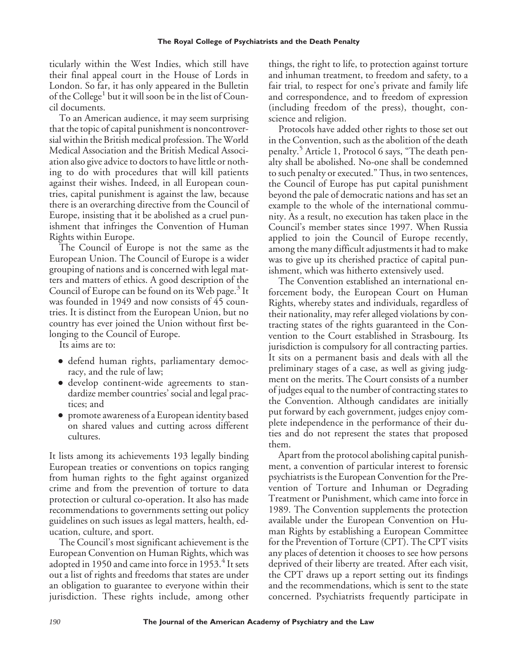ticularly within the West Indies, which still have their final appeal court in the House of Lords in London. So far, it has only appeared in the Bulletin of the College<sup>1</sup> but it will soon be in the list of Council documents.

To an American audience, it may seem surprising that the topic of capital punishment is noncontroversial within the British medical profession. The World Medical Association and the British Medical Association also give advice to doctors to have little or nothing to do with procedures that will kill patients against their wishes. Indeed, in all European countries, capital punishment is against the law, because there is an overarching directive from the Council of Europe, insisting that it be abolished as a cruel punishment that infringes the Convention of Human Rights within Europe.

The Council of Europe is not the same as the European Union. The Council of Europe is a wider grouping of nations and is concerned with legal matters and matters of ethics. A good description of the Council of Europe can be found on its Web page.<sup>3</sup> It was founded in 1949 and now consists of 45 countries. It is distinct from the European Union, but no country has ever joined the Union without first belonging to the Council of Europe.

Its aims are to:

- defend human rights, parliamentary democracy, and the rule of law;
- develop continent-wide agreements to standardize member countries' social and legal practices; and
- promote awareness of a European identity based on shared values and cutting across different cultures.

It lists among its achievements 193 legally binding European treaties or conventions on topics ranging from human rights to the fight against organized crime and from the prevention of torture to data protection or cultural co-operation. It also has made recommendations to governments setting out policy guidelines on such issues as legal matters, health, education, culture, and sport.

The Council's most significant achievement is the European Convention on Human Rights, which was adopted in 1950 and came into force in 1953. $4$  It sets out a list of rights and freedoms that states are under an obligation to guarantee to everyone within their jurisdiction. These rights include, among other things, the right to life, to protection against torture and inhuman treatment, to freedom and safety, to a fair trial, to respect for one's private and family life and correspondence, and to freedom of expression (including freedom of the press), thought, conscience and religion.

Protocols have added other rights to those set out in the Convention, such as the abolition of the death penalty.<sup>5</sup> Article 1, Protocol 6 says, "The death penalty shall be abolished. No-one shall be condemned to such penalty or executed." Thus, in two sentences, the Council of Europe has put capital punishment beyond the pale of democratic nations and has set an example to the whole of the international community. As a result, no execution has taken place in the Council's member states since 1997. When Russia applied to join the Council of Europe recently, among the many difficult adjustments it had to make was to give up its cherished practice of capital punishment, which was hitherto extensively used.

The Convention established an international enforcement body, the European Court on Human Rights, whereby states and individuals, regardless of their nationality, may refer alleged violations by contracting states of the rights guaranteed in the Convention to the Court established in Strasbourg. Its jurisdiction is compulsory for all contracting parties. It sits on a permanent basis and deals with all the preliminary stages of a case, as well as giving judgment on the merits. The Court consists of a number of judges equal to the number of contracting states to the Convention. Although candidates are initially put forward by each government, judges enjoy complete independence in the performance of their duties and do not represent the states that proposed them.

Apart from the protocol abolishing capital punishment, a convention of particular interest to forensic psychiatrists is the European Convention for the Prevention of Torture and Inhuman or Degrading Treatment or Punishment, which came into force in 1989. The Convention supplements the protection available under the European Convention on Human Rights by establishing a European Committee for the Prevention of Torture (CPT). The CPT visits any places of detention it chooses to see how persons deprived of their liberty are treated. After each visit, the CPT draws up a report setting out its findings and the recommendations, which is sent to the state concerned. Psychiatrists frequently participate in